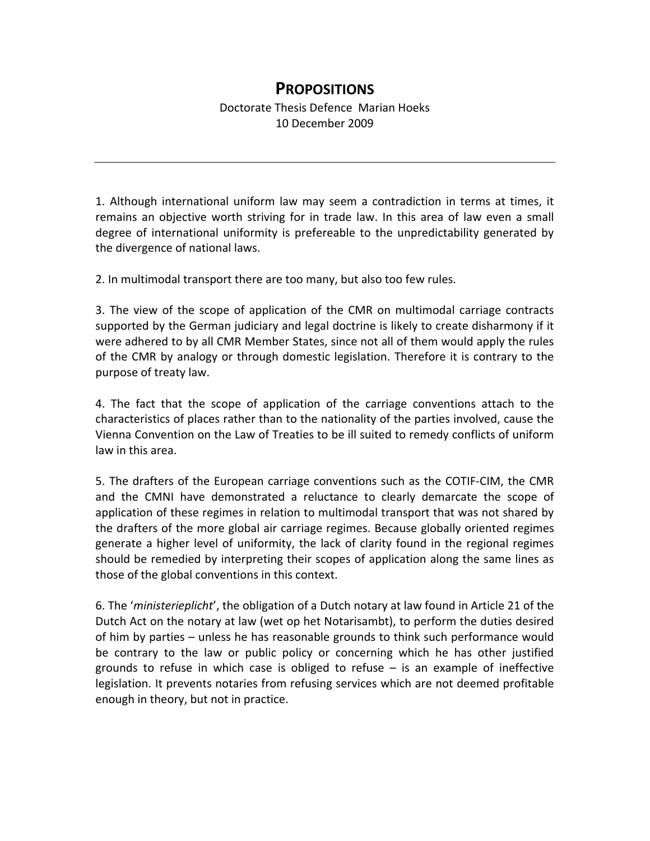## **PROPOSITIONS**

1. Although international uniform law may seem a contradiction in terms at times, it remains an objective worth striving for in trade law. In this area of law even a small degree of international uniformity is prefereable to the unpredictability generated by the divergence of national laws.

2. In multimodal transport there are too many, but also too few rules.

3. The view of the scope of application of the CMR on multimodal carriage contracts supported by the German judiciary and legal doctrine is likely to create disharmony if it were adhered to by all CMR Member States, since not all of them would apply the rules of the CMR by analogy or through domestic legislation. Therefore it is contrary to the purpose of treaty law.

4. The fact that the scope of application of the carriage conventions attach to the characteristics of places rather than to the nationality of the parties involved, cause the Vienna Convention on the Law of Treaties to be ill suited to remedy conflicts of uniform law in this area.

5. The drafters of the European carriage conventions such as the COTIF-CIM, the CMR and the CMNI have demonstrated a reluctance to clearly demarcate the scope of application of these regimes in relation to multimodal transport that was not shared by the drafters of the more global air carriage regimes. Because globally oriented regimes generate a higher level of uniformity, the lack of clarity found in the regional regimes should be remedied by interpreting their scopes of application along the same lines as those of the global conventions in this context.

6. The '*ministerieplicht*', the obligation of a Dutch notary at law found in Article 21 of the Dutch Act on the notary at law (wet op het Notarisambt), to perform the duties desired of him by parties – unless he has reasonable grounds to think such performance would be contrary to the law or public policy or concerning which he has other justified grounds to refuse in which case is obliged to refuse – is an example of ineffective legislation. It prevents notaries from refusing services which are not deemed profitable enough in theory, but not in practice.